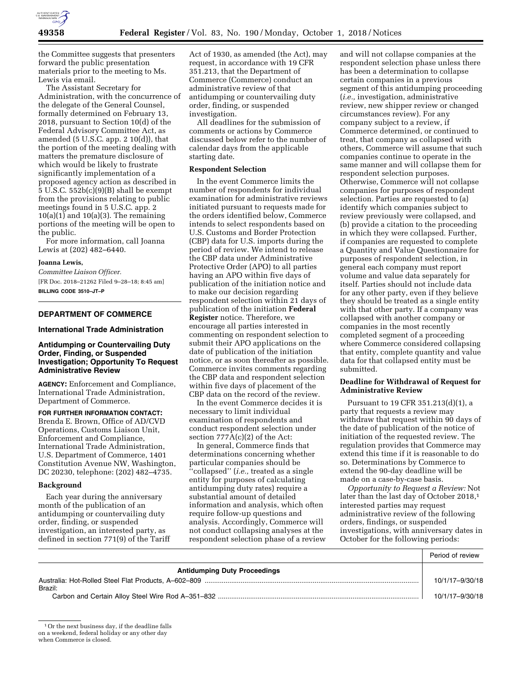

the Committee suggests that presenters forward the public presentation materials prior to the meeting to Ms. Lewis via email.

The Assistant Secretary for Administration, with the concurrence of the delegate of the General Counsel, formally determined on February 13, 2018, pursuant to Section 10(d) of the Federal Advisory Committee Act, as amended  $(5 \text{ U.S.C. app. 2 10(d))}$ , that the portion of the meeting dealing with matters the premature disclosure of which would be likely to frustrate significantly implementation of a proposed agency action as described in 5 U.S.C. 552b(c)(9)(B) shall be exempt from the provisions relating to public meetings found in 5 U.S.C. app. 2  $10(a)(1)$  and  $10(a)(3)$ . The remaining portions of the meeting will be open to the public.

For more information, call Joanna Lewis at (202) 482–6440.

#### **Joanna Lewis,**

*Committee Liaison Officer.*  [FR Doc. 2018–21262 Filed 9–28–18; 8:45 am] **BILLING CODE 3510–JT–P** 

# **DEPARTMENT OF COMMERCE**

### **International Trade Administration**

### **Antidumping or Countervailing Duty Order, Finding, or Suspended Investigation; Opportunity To Request Administrative Review**

**AGENCY:** Enforcement and Compliance, International Trade Administration, Department of Commerce.

**FOR FURTHER INFORMATION CONTACT:**  Brenda E. Brown, Office of AD/CVD Operations, Customs Liaison Unit, Enforcement and Compliance, International Trade Administration,

U.S. Department of Commerce, 1401 Constitution Avenue NW, Washington, DC 20230, telephone: (202) 482–4735.

### **Background**

Each year during the anniversary month of the publication of an antidumping or countervailing duty order, finding, or suspended investigation, an interested party, as defined in section 771(9) of the Tariff

Act of 1930, as amended (the Act), may request, in accordance with 19 CFR 351.213, that the Department of Commerce (Commerce) conduct an administrative review of that antidumping or countervailing duty order, finding, or suspended investigation.

All deadlines for the submission of comments or actions by Commerce discussed below refer to the number of calendar days from the applicable starting date.

### **Respondent Selection**

In the event Commerce limits the number of respondents for individual examination for administrative reviews initiated pursuant to requests made for the orders identified below, Commerce intends to select respondents based on U.S. Customs and Border Protection (CBP) data for U.S. imports during the period of review. We intend to release the CBP data under Administrative Protective Order (APO) to all parties having an APO within five days of publication of the initiation notice and to make our decision regarding respondent selection within 21 days of publication of the initiation **Federal Register** notice. Therefore, we encourage all parties interested in commenting on respondent selection to submit their APO applications on the date of publication of the initiation notice, or as soon thereafter as possible. Commerce invites comments regarding the CBP data and respondent selection within five days of placement of the CBP data on the record of the review.

In the event Commerce decides it is necessary to limit individual examination of respondents and conduct respondent selection under section 777A(c)(2) of the Act:

In general, Commerce finds that determinations concerning whether particular companies should be ''collapsed'' (*i.e.,* treated as a single entity for purposes of calculating antidumping duty rates) require a substantial amount of detailed information and analysis, which often require follow-up questions and analysis. Accordingly, Commerce will not conduct collapsing analyses at the respondent selection phase of a review

and will not collapse companies at the respondent selection phase unless there has been a determination to collapse certain companies in a previous segment of this antidumping proceeding (*i.e.,* investigation, administrative review, new shipper review or changed circumstances review). For any company subject to a review, if Commerce determined, or continued to treat, that company as collapsed with others, Commerce will assume that such companies continue to operate in the same manner and will collapse them for respondent selection purposes. Otherwise, Commerce will not collapse companies for purposes of respondent selection. Parties are requested to (a) identify which companies subject to review previously were collapsed, and (b) provide a citation to the proceeding in which they were collapsed. Further, if companies are requested to complete a Quantity and Value Questionnaire for purposes of respondent selection, in general each company must report volume and value data separately for itself. Parties should not include data for any other party, even if they believe they should be treated as a single entity with that other party. If a company was collapsed with another company or companies in the most recently completed segment of a proceeding where Commerce considered collapsing that entity, complete quantity and value data for that collapsed entity must be submitted.

## **Deadline for Withdrawal of Request for Administrative Review**

Pursuant to 19 CFR 351.213(d)(1), a party that requests a review may withdraw that request within 90 days of the date of publication of the notice of initiation of the requested review. The regulation provides that Commerce may extend this time if it is reasonable to do so. Determinations by Commerce to extend the 90-day deadline will be made on a case-by-case basis.

*Opportunity to Request a Review:* Not later than the last day of October 2018,<sup>1</sup> interested parties may request administrative review of the following orders, findings, or suspended investigations, with anniversary dates in October for the following periods:

Period of review

| <b>Antidumping Duty Proceedings</b> |                 |
|-------------------------------------|-----------------|
| Brazil:                             | 10/1/17-9/30/18 |
|                                     | 10/1/17-9/30/18 |

<sup>1</sup>Or the next business day, if the deadline falls

on a weekend, federal holiday or any other day

when Commerce is closed.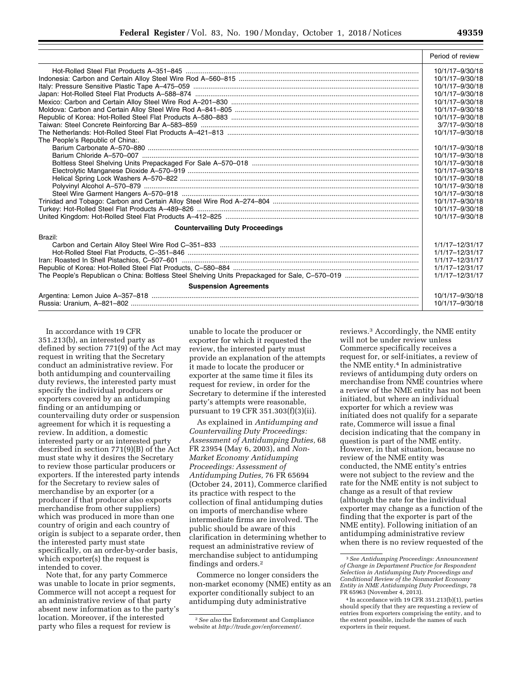|                                        | Period of review |
|----------------------------------------|------------------|
|                                        | 10/1/17-9/30/18  |
|                                        | 10/1/17-9/30/18  |
|                                        | 10/1/17-9/30/18  |
|                                        | 10/1/17-9/30/18  |
|                                        | 10/1/17-9/30/18  |
|                                        | 10/1/17-9/30/18  |
|                                        | 10/1/17-9/30/18  |
|                                        | 3/7/17-9/30/18   |
|                                        | 10/1/17-9/30/18  |
| The People's Republic of China:.       |                  |
|                                        | 10/1/17-9/30/18  |
|                                        | 10/1/17-9/30/18  |
|                                        | 10/1/17-9/30/18  |
|                                        | 10/1/17-9/30/18  |
|                                        | 10/1/17-9/30/18  |
|                                        | 10/1/17-9/30/18  |
|                                        | 10/1/17-9/30/18  |
|                                        | 10/1/17-9/30/18  |
|                                        | 10/1/17-9/30/18  |
|                                        | 10/1/17-9/30/18  |
| <b>Countervailing Duty Proceedings</b> |                  |
| Brazil:                                |                  |
|                                        | 1/1/17-12/31/17  |
|                                        | 1/1/17-12/31/17  |
|                                        | 1/1/17-12/31/17  |
|                                        | 1/1/17-12/31/17  |
|                                        | 1/1/17-12/31/17  |
| <b>Suspension Agreements</b>           |                  |
|                                        | 10/1/17-9/30/18  |
|                                        | 10/1/17-9/30/18  |

In accordance with 19 CFR 351.213(b), an interested party as defined by section 771(9) of the Act may request in writing that the Secretary conduct an administrative review. For both antidumping and countervailing duty reviews, the interested party must specify the individual producers or exporters covered by an antidumping finding or an antidumping or countervailing duty order or suspension agreement for which it is requesting a review. In addition, a domestic interested party or an interested party described in section 771(9)(B) of the Act must state why it desires the Secretary to review those particular producers or exporters. If the interested party intends for the Secretary to review sales of merchandise by an exporter (or a producer if that producer also exports merchandise from other suppliers) which was produced in more than one country of origin and each country of origin is subject to a separate order, then the interested party must state specifically, on an order-by-order basis, which exporter(s) the request is intended to cover.

Note that, for any party Commerce was unable to locate in prior segments, Commerce will not accept a request for an administrative review of that party absent new information as to the party's location. Moreover, if the interested party who files a request for review is

unable to locate the producer or exporter for which it requested the review, the interested party must provide an explanation of the attempts it made to locate the producer or exporter at the same time it files its request for review, in order for the Secretary to determine if the interested party's attempts were reasonable, pursuant to 19 CFR 351.303(f)(3)(ii).

As explained in *Antidumping and Countervailing Duty Proceedings: Assessment of Antidumping Duties,* 68 FR 23954 (May 6, 2003), and *Non-Market Economy Antidumping Proceedings: Assessment of Antidumping Duties,* 76 FR 65694 (October 24, 2011), Commerce clarified its practice with respect to the collection of final antidumping duties on imports of merchandise where intermediate firms are involved. The public should be aware of this clarification in determining whether to request an administrative review of merchandise subject to antidumping findings and orders.2

Commerce no longer considers the non-market economy (NME) entity as an exporter conditionally subject to an antidumping duty administrative

reviews.3 Accordingly, the NME entity will not be under review unless Commerce specifically receives a request for, or self-initiates, a review of the NME entity.4 In administrative reviews of antidumping duty orders on merchandise from NME countries where a review of the NME entity has not been initiated, but where an individual exporter for which a review was initiated does not qualify for a separate rate, Commerce will issue a final decision indicating that the company in question is part of the NME entity. However, in that situation, because no review of the NME entity was conducted, the NME entity's entries were not subject to the review and the rate for the NME entity is not subject to change as a result of that review (although the rate for the individual exporter may change as a function of the finding that the exporter is part of the NME entity). Following initiation of an antidumping administrative review when there is no review requested of the

<sup>2</sup>*See also* the Enforcement and Compliance website at *[http://trade.gov/enforcement/.](http://trade.gov/enforcement/)* 

<sup>3</sup>*See Antidumping Proceedings: Announcement of Change in Department Practice for Respondent Selection in Antidumping Duty Proceedings and Conditional Review of the Nonmarket Economy Entity in NME Antidumping Duty Proceedings,* 78 FR 65963 (November 4, 2013).

<sup>4</sup> In accordance with 19 CFR 351.213(b)(1), parties should specify that they are requesting a review of entries from exporters comprising the entity, and to the extent possible, include the names of such exporters in their request.